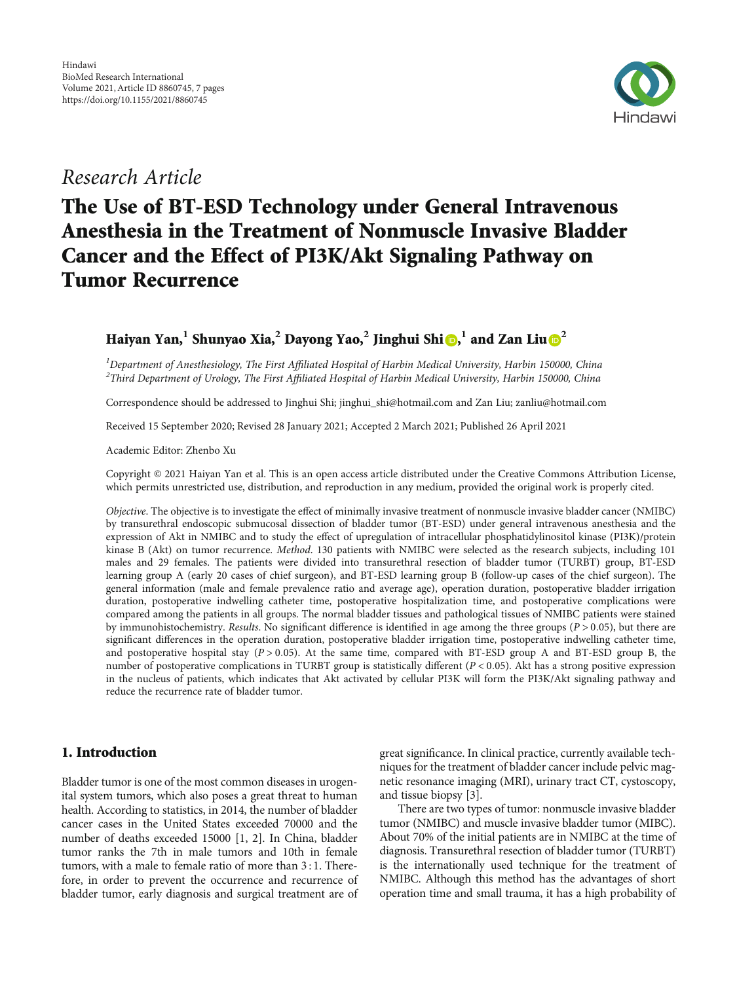

# Research Article

# The Use of BT-ESD Technology under General Intravenous Anesthesia in the Treatment of Nonmuscle Invasive Bladder Cancer and the Effect of PI3K/Akt Signaling Pathway on Tumor Recurrence

# Haiyan Yan,**<sup>1</sup>** Shunyao Xia,**<sup>2</sup>** Dayong Yao,**<sup>2</sup>** Jinghui Shi [,](https://orcid.org/0000-0003-3278-2628) **<sup>1</sup>** and Zan Liu **[2](https://orcid.org/0000-0002-8646-1638)**

<sup>1</sup>Department of Anesthesiology, The First Affiliated Hospital of Harbin Medical University, Harbin 150000, China<br><sup>2</sup>Third Department of Urology, The First Affiliated Hospital of Harbin Medical University, Harbin 150000, C <sup>2</sup>Third Department of Urology, The First Affiliated Hospital of Harbin Medical University, Harbin 150000, China

Correspondence should be addressed to Jinghui Shi; jinghui\_shi@hotmail.com and Zan Liu; zanliu@hotmail.com

Received 15 September 2020; Revised 28 January 2021; Accepted 2 March 2021; Published 26 April 2021

Academic Editor: Zhenbo Xu

Copyright © 2021 Haiyan Yan et al. This is an open access article distributed under the [Creative Commons Attribution License](https://creativecommons.org/licenses/by/4.0/), which permits unrestricted use, distribution, and reproduction in any medium, provided the original work is properly cited.

Objective. The objective is to investigate the effect of minimally invasive treatment of nonmuscle invasive bladder cancer (NMIBC) by transurethral endoscopic submucosal dissection of bladder tumor (BT-ESD) under general intravenous anesthesia and the expression of Akt in NMIBC and to study the effect of upregulation of intracellular phosphatidylinositol kinase (PI3K)/protein kinase B (Akt) on tumor recurrence. Method. 130 patients with NMIBC were selected as the research subjects, including 101 males and 29 females. The patients were divided into transurethral resection of bladder tumor (TURBT) group, BT-ESD learning group A (early 20 cases of chief surgeon), and BT-ESD learning group B (follow-up cases of the chief surgeon). The general information (male and female prevalence ratio and average age), operation duration, postoperative bladder irrigation duration, postoperative indwelling catheter time, postoperative hospitalization time, and postoperative complications were compared among the patients in all groups. The normal bladder tissues and pathological tissues of NMIBC patients were stained by immunohistochemistry. Results. No significant difference is identified in age among the three groups (*P* > 0*:*05), but there are significant differences in the operation duration, postoperative bladder irrigation time, postoperative indwelling catheter time, and postoperative hospital stay  $(P > 0.05)$ . At the same time, compared with BT-ESD group A and BT-ESD group B, the number of postoperative complications in TURBT group is statistically different (*P* < 0*:*05). Akt has a strong positive expression in the nucleus of patients, which indicates that Akt activated by cellular PI3K will form the PI3K/Akt signaling pathway and reduce the recurrence rate of bladder tumor.

## 1. Introduction

Bladder tumor is one of the most common diseases in urogenital system tumors, which also poses a great threat to human health. According to statistics, in 2014, the number of bladder cancer cases in the United States exceeded 70000 and the number of deaths exceeded 15000 [[1, 2](#page-6-0)]. In China, bladder tumor ranks the 7th in male tumors and 10th in female tumors, with a male to female ratio of more than 3 : 1. Therefore, in order to prevent the occurrence and recurrence of bladder tumor, early diagnosis and surgical treatment are of great significance. In clinical practice, currently available techniques for the treatment of bladder cancer include pelvic magnetic resonance imaging (MRI), urinary tract CT, cystoscopy, and tissue biopsy [[3](#page-6-0)].

There are two types of tumor: nonmuscle invasive bladder tumor (NMIBC) and muscle invasive bladder tumor (MIBC). About 70% of the initial patients are in NMIBC at the time of diagnosis. Transurethral resection of bladder tumor (TURBT) is the internationally used technique for the treatment of NMIBC. Although this method has the advantages of short operation time and small trauma, it has a high probability of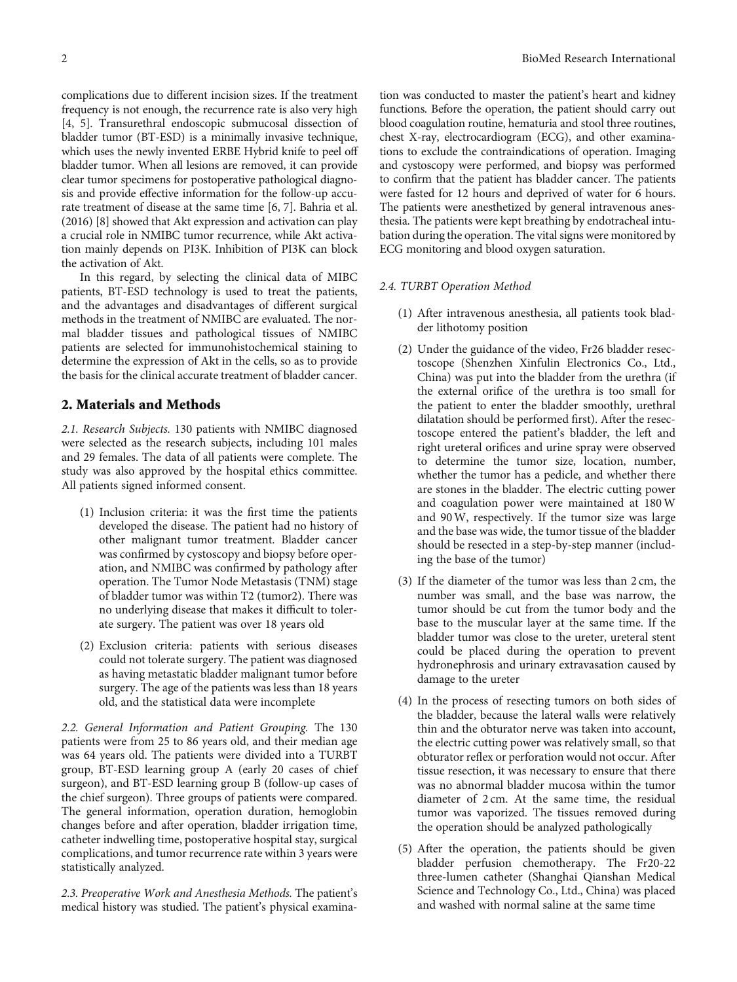complications due to different incision sizes. If the treatment frequency is not enough, the recurrence rate is also very high [\[4](#page-6-0), [5](#page-6-0)]. Transurethral endoscopic submucosal dissection of bladder tumor (BT-ESD) is a minimally invasive technique, which uses the newly invented ERBE Hybrid knife to peel off bladder tumor. When all lesions are removed, it can provide clear tumor specimens for postoperative pathological diagnosis and provide effective information for the follow-up accurate treatment of disease at the same time [\[6, 7](#page-6-0)]. Bahria et al. (2016) [\[8\]](#page-6-0) showed that Akt expression and activation can play a crucial role in NMIBC tumor recurrence, while Akt activation mainly depends on PI3K. Inhibition of PI3K can block the activation of Akt.

In this regard, by selecting the clinical data of MIBC patients, BT-ESD technology is used to treat the patients, and the advantages and disadvantages of different surgical methods in the treatment of NMIBC are evaluated. The normal bladder tissues and pathological tissues of NMIBC patients are selected for immunohistochemical staining to determine the expression of Akt in the cells, so as to provide the basis for the clinical accurate treatment of bladder cancer.

### 2. Materials and Methods

2.1. Research Subjects. 130 patients with NMIBC diagnosed were selected as the research subjects, including 101 males and 29 females. The data of all patients were complete. The study was also approved by the hospital ethics committee. All patients signed informed consent.

- (1) Inclusion criteria: it was the first time the patients developed the disease. The patient had no history of other malignant tumor treatment. Bladder cancer was confirmed by cystoscopy and biopsy before operation, and NMIBC was confirmed by pathology after operation. The Tumor Node Metastasis (TNM) stage of bladder tumor was within T2 (tumor2). There was no underlying disease that makes it difficult to tolerate surgery. The patient was over 18 years old
- (2) Exclusion criteria: patients with serious diseases could not tolerate surgery. The patient was diagnosed as having metastatic bladder malignant tumor before surgery. The age of the patients was less than 18 years old, and the statistical data were incomplete

2.2. General Information and Patient Grouping. The 130 patients were from 25 to 86 years old, and their median age was 64 years old. The patients were divided into a TURBT group, BT-ESD learning group A (early 20 cases of chief surgeon), and BT-ESD learning group B (follow-up cases of the chief surgeon). Three groups of patients were compared. The general information, operation duration, hemoglobin changes before and after operation, bladder irrigation time, catheter indwelling time, postoperative hospital stay, surgical complications, and tumor recurrence rate within 3 years were statistically analyzed.

2.3. Preoperative Work and Anesthesia Methods. The patient's medical history was studied. The patient's physical examina-

tion was conducted to master the patient's heart and kidney functions. Before the operation, the patient should carry out blood coagulation routine, hematuria and stool three routines, chest X-ray, electrocardiogram (ECG), and other examinations to exclude the contraindications of operation. Imaging and cystoscopy were performed, and biopsy was performed to confirm that the patient has bladder cancer. The patients were fasted for 12 hours and deprived of water for 6 hours. The patients were anesthetized by general intravenous anesthesia. The patients were kept breathing by endotracheal intubation during the operation. The vital signs were monitored by ECG monitoring and blood oxygen saturation.

#### 2.4. TURBT Operation Method

- (1) After intravenous anesthesia, all patients took bladder lithotomy position
- (2) Under the guidance of the video, Fr26 bladder resectoscope (Shenzhen Xinfulin Electronics Co., Ltd., China) was put into the bladder from the urethra (if the external orifice of the urethra is too small for the patient to enter the bladder smoothly, urethral dilatation should be performed first). After the resectoscope entered the patient's bladder, the left and right ureteral orifices and urine spray were observed to determine the tumor size, location, number, whether the tumor has a pedicle, and whether there are stones in the bladder. The electric cutting power and coagulation power were maintained at 180W and 90W, respectively. If the tumor size was large and the base was wide, the tumor tissue of the bladder should be resected in a step-by-step manner (including the base of the tumor)
- (3) If the diameter of the tumor was less than 2 cm, the number was small, and the base was narrow, the tumor should be cut from the tumor body and the base to the muscular layer at the same time. If the bladder tumor was close to the ureter, ureteral stent could be placed during the operation to prevent hydronephrosis and urinary extravasation caused by damage to the ureter
- (4) In the process of resecting tumors on both sides of the bladder, because the lateral walls were relatively thin and the obturator nerve was taken into account, the electric cutting power was relatively small, so that obturator reflex or perforation would not occur. After tissue resection, it was necessary to ensure that there was no abnormal bladder mucosa within the tumor diameter of 2 cm. At the same time, the residual tumor was vaporized. The tissues removed during the operation should be analyzed pathologically
- (5) After the operation, the patients should be given bladder perfusion chemotherapy. The Fr20-22 three-lumen catheter (Shanghai Qianshan Medical Science and Technology Co., Ltd., China) was placed and washed with normal saline at the same time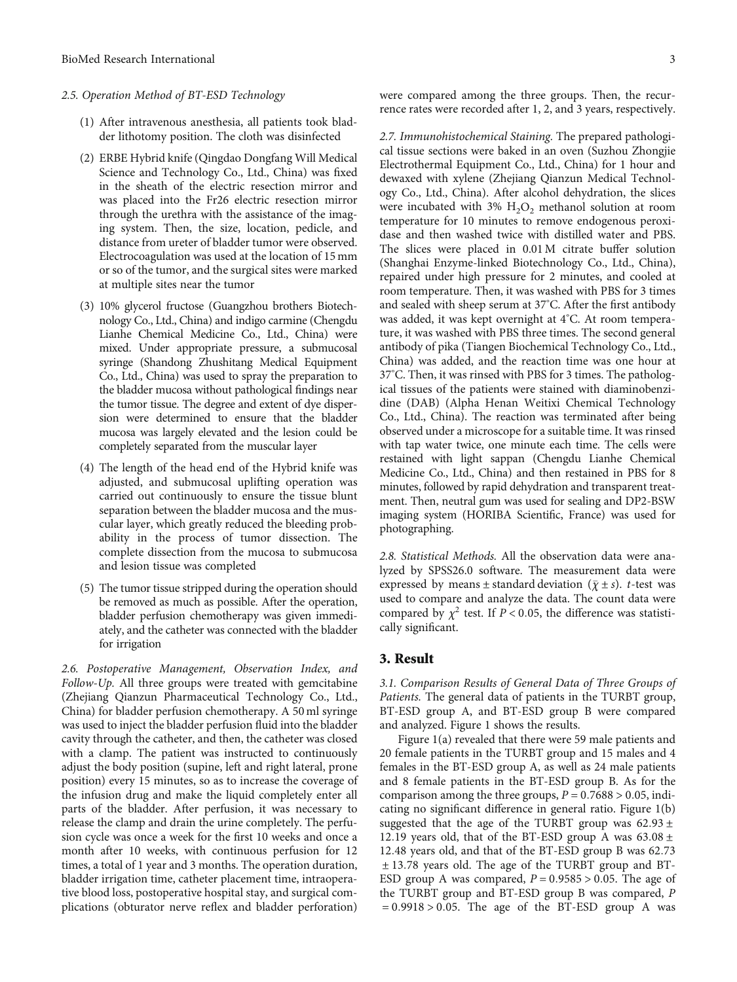#### 2.5. Operation Method of BT-ESD Technology

- (1) After intravenous anesthesia, all patients took bladder lithotomy position. The cloth was disinfected
- (2) ERBE Hybrid knife (Qingdao Dongfang Will Medical Science and Technology Co., Ltd., China) was fixed in the sheath of the electric resection mirror and was placed into the Fr26 electric resection mirror through the urethra with the assistance of the imaging system. Then, the size, location, pedicle, and distance from ureter of bladder tumor were observed. Electrocoagulation was used at the location of 15 mm or so of the tumor, and the surgical sites were marked at multiple sites near the tumor
- (3) 10% glycerol fructose (Guangzhou brothers Biotechnology Co., Ltd., China) and indigo carmine (Chengdu Lianhe Chemical Medicine Co., Ltd., China) were mixed. Under appropriate pressure, a submucosal syringe (Shandong Zhushitang Medical Equipment Co., Ltd., China) was used to spray the preparation to the bladder mucosa without pathological findings near the tumor tissue. The degree and extent of dye dispersion were determined to ensure that the bladder mucosa was largely elevated and the lesion could be completely separated from the muscular layer
- (4) The length of the head end of the Hybrid knife was adjusted, and submucosal uplifting operation was carried out continuously to ensure the tissue blunt separation between the bladder mucosa and the muscular layer, which greatly reduced the bleeding probability in the process of tumor dissection. The complete dissection from the mucosa to submucosa and lesion tissue was completed
- (5) The tumor tissue stripped during the operation should be removed as much as possible. After the operation, bladder perfusion chemotherapy was given immediately, and the catheter was connected with the bladder for irrigation

2.6. Postoperative Management, Observation Index, and Follow-Up. All three groups were treated with gemcitabine (Zhejiang Qianzun Pharmaceutical Technology Co., Ltd., China) for bladder perfusion chemotherapy. A 50 ml syringe was used to inject the bladder perfusion fluid into the bladder cavity through the catheter, and then, the catheter was closed with a clamp. The patient was instructed to continuously adjust the body position (supine, left and right lateral, prone position) every 15 minutes, so as to increase the coverage of the infusion drug and make the liquid completely enter all parts of the bladder. After perfusion, it was necessary to release the clamp and drain the urine completely. The perfusion cycle was once a week for the first 10 weeks and once a month after 10 weeks, with continuous perfusion for 12 times, a total of 1 year and 3 months. The operation duration, bladder irrigation time, catheter placement time, intraoperative blood loss, postoperative hospital stay, and surgical complications (obturator nerve reflex and bladder perforation) were compared among the three groups. Then, the recurrence rates were recorded after 1, 2, and 3 years, respectively.

2.7. Immunohistochemical Staining. The prepared pathological tissue sections were baked in an oven (Suzhou Zhongjie Electrothermal Equipment Co., Ltd., China) for 1 hour and dewaxed with xylene (Zhejiang Qianzun Medical Technology Co., Ltd., China). After alcohol dehydration, the slices were incubated with 3%  $H_2O_2$  methanol solution at room temperature for 10 minutes to remove endogenous peroxidase and then washed twice with distilled water and PBS. The slices were placed in 0.01 M citrate buffer solution (Shanghai Enzyme-linked Biotechnology Co., Ltd., China), repaired under high pressure for 2 minutes, and cooled at room temperature. Then, it was washed with PBS for 3 times and sealed with sheep serum at 37° C. After the first antibody was added, it was kept overnight at 4°C. At room temperature, it was washed with PBS three times. The second general antibody of pika (Tiangen Biochemical Technology Co., Ltd., China) was added, and the reaction time was one hour at 37° C. Then, it was rinsed with PBS for 3 times. The pathological tissues of the patients were stained with diaminobenzidine (DAB) (Alpha Henan Weitixi Chemical Technology Co., Ltd., China). The reaction was terminated after being observed under a microscope for a suitable time. It was rinsed with tap water twice, one minute each time. The cells were restained with light sappan (Chengdu Lianhe Chemical Medicine Co., Ltd., China) and then restained in PBS for 8 minutes, followed by rapid dehydration and transparent treatment. Then, neutral gum was used for sealing and DP2-BSW imaging system (HORIBA Scientific, France) was used for photographing.

2.8. Statistical Methods. All the observation data were analyzed by SPSS26.0 software. The measurement data were expressed by means  $\pm$  standard deviation ( $\bar{\chi} \pm s$ ). *t*-test was used to compare and analyze the data. The count data were compared by  $\chi^2$  test. If *P* < 0.05, the difference was statistically significant.

#### 3. Result

3.1. Comparison Results of General Data of Three Groups of Patients. The general data of patients in the TURBT group, BT-ESD group A, and BT-ESD group B were compared and analyzed. Figure [1](#page-3-0) shows the results.

Figure [1\(a\)](#page-3-0) revealed that there were 59 male patients and 20 female patients in the TURBT group and 15 males and 4 females in the BT-ESD group A, as well as 24 male patients and 8 female patients in the BT-ESD group B. As for the comparison among the three groups,  $P = 0.7688 > 0.05$ , indicating no significant difference in general ratio. Figure [1\(b\)](#page-3-0) suggested that the age of the TURBT group was 62*:*93 ± 12*:*19 years old, that of the BT-ESD group A was 63*:*08 ± 12*:*48 years old, and that of the BT-ESD group B was 62*:*73 ± 13*:*78 years old. The age of the TURBT group and BT-ESD group A was compared,  $P = 0.9585 > 0.05$ . The age of the TURBT group and BT-ESD group B was compared, *P* = 0*:*9918 > 0*:*05. The age of the BT-ESD group A was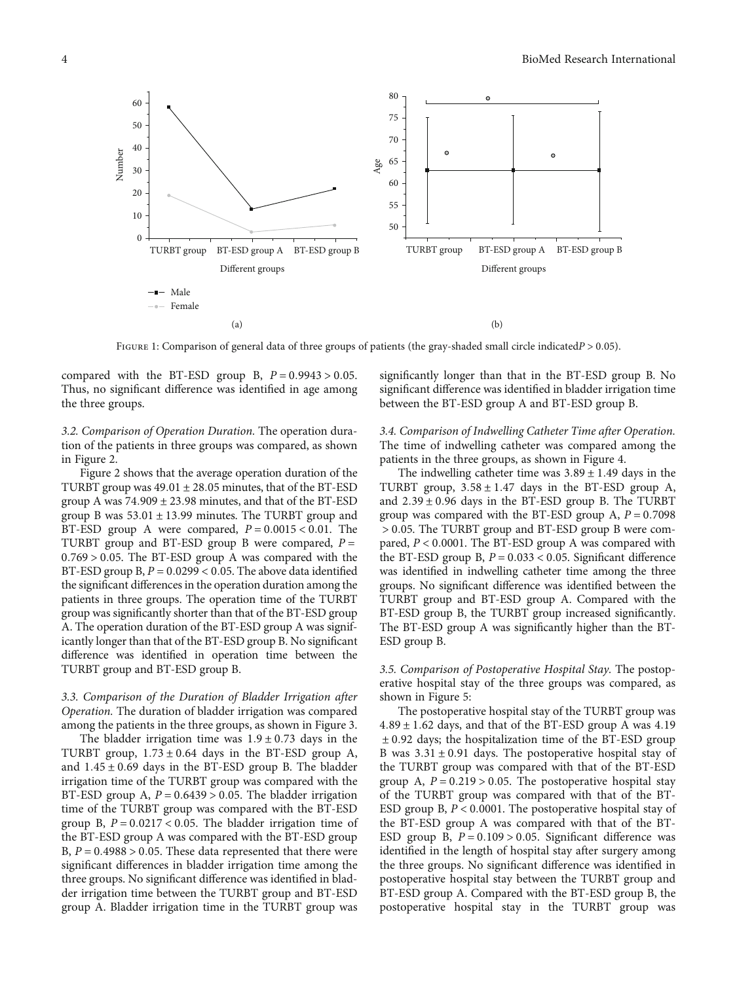<span id="page-3-0"></span>

Figure 1: Comparison of general data of three groups of patients (the gray-shaded small circle indicated*<sup>P</sup>* > 0*:*05).

compared with the BT-ESD group B,  $P = 0.9943 > 0.05$ . Thus, no significant difference was identified in age among the three groups.

3.2. Comparison of Operation Duration. The operation duration of the patients in three groups was compared, as shown in Figure [2.](#page-4-0)

Figure [2](#page-4-0) shows that the average operation duration of the TURBT group was 49*:*01 ± 28*:*05 minutes, that of the BT-ESD group A was 74*:*909 ± 23*:*98 minutes, and that of the BT-ESD group B was 53*:*01 ± 13*:*99 minutes. The TURBT group and BT-ESD group A were compared,  $P = 0.0015 < 0.01$ . The TURBT group and BT-ESD group B were compared, *P* = 0*:*769 > 0*:*05. The BT-ESD group A was compared with the BT-ESD group B, *P* = 0*:*0299 < 0*:*05. The above data identified the significant differences in the operation duration among the patients in three groups. The operation time of the TURBT group was significantly shorter than that of the BT-ESD group A. The operation duration of the BT-ESD group A was significantly longer than that of the BT-ESD group B. No significant difference was identified in operation time between the TURBT group and BT-ESD group B.

3.3. Comparison of the Duration of Bladder Irrigation after Operation. The duration of bladder irrigation was compared among the patients in the three groups, as shown in Figure [3.](#page-4-0)

The bladder irrigation time was  $1.9 \pm 0.73$  days in the TURBT group,  $1.73 \pm 0.64$  days in the BT-ESD group A, and 1*:*45 ± 0*:*69 days in the BT-ESD group B. The bladder irrigation time of the TURBT group was compared with the BT-ESD group A,  $P = 0.6439 > 0.05$ . The bladder irrigation time of the TURBT group was compared with the BT-ESD group B, *P* = 0*:*0217 < 0*:*05. The bladder irrigation time of the BT-ESD group A was compared with the BT-ESD group B, *P* = 0*:*4988 > 0*:*05. These data represented that there were significant differences in bladder irrigation time among the three groups. No significant difference was identified in bladder irrigation time between the TURBT group and BT-ESD group A. Bladder irrigation time in the TURBT group was

significantly longer than that in the BT-ESD group B. No significant difference was identified in bladder irrigation time between the BT-ESD group A and BT-ESD group B.

3.4. Comparison of Indwelling Catheter Time after Operation. The time of indwelling catheter was compared among the patients in the three groups, as shown in Figure [4.](#page-4-0)

The indwelling catheter time was  $3.89 \pm 1.49$  days in the TURBT group,  $3.58 \pm 1.47$  days in the BT-ESD group A, and 2*:*39 ± 0*:*96 days in the BT-ESD group B. The TURBT group was compared with the BT-ESD group A, *P* = 0*:*7098 > 0*:*05. The TURBT group and BT-ESD group B were compared, *P* < 0*:*0001. The BT-ESD group A was compared with the BT-ESD group B,  $P = 0.033 < 0.05$ . Significant difference was identified in indwelling catheter time among the three groups. No significant difference was identified between the TURBT group and BT-ESD group A. Compared with the BT-ESD group B, the TURBT group increased significantly. The BT-ESD group A was significantly higher than the BT-ESD group B.

3.5. Comparison of Postoperative Hospital Stay. The postoperative hospital stay of the three groups was compared, as shown in Figure [5:](#page-4-0)

The postoperative hospital stay of the TURBT group was 4*:*89 ± 1*:*62 days, and that of the BT-ESD group A was 4*:*19 ± 0*:*92 days; the hospitalization time of the BT-ESD group B was 3*:*31 ± 0*:*91 days. The postoperative hospital stay of the TURBT group was compared with that of the BT-ESD group A, *P* = 0*:*219 > 0*:*05. The postoperative hospital stay of the TURBT group was compared with that of the BT-ESD group B, *P* < 0*:*0001. The postoperative hospital stay of the BT-ESD group A was compared with that of the BT-ESD group B, *P* = 0*:*109 > 0*:*05. Significant difference was identified in the length of hospital stay after surgery among the three groups. No significant difference was identified in postoperative hospital stay between the TURBT group and BT-ESD group A. Compared with the BT-ESD group B, the postoperative hospital stay in the TURBT group was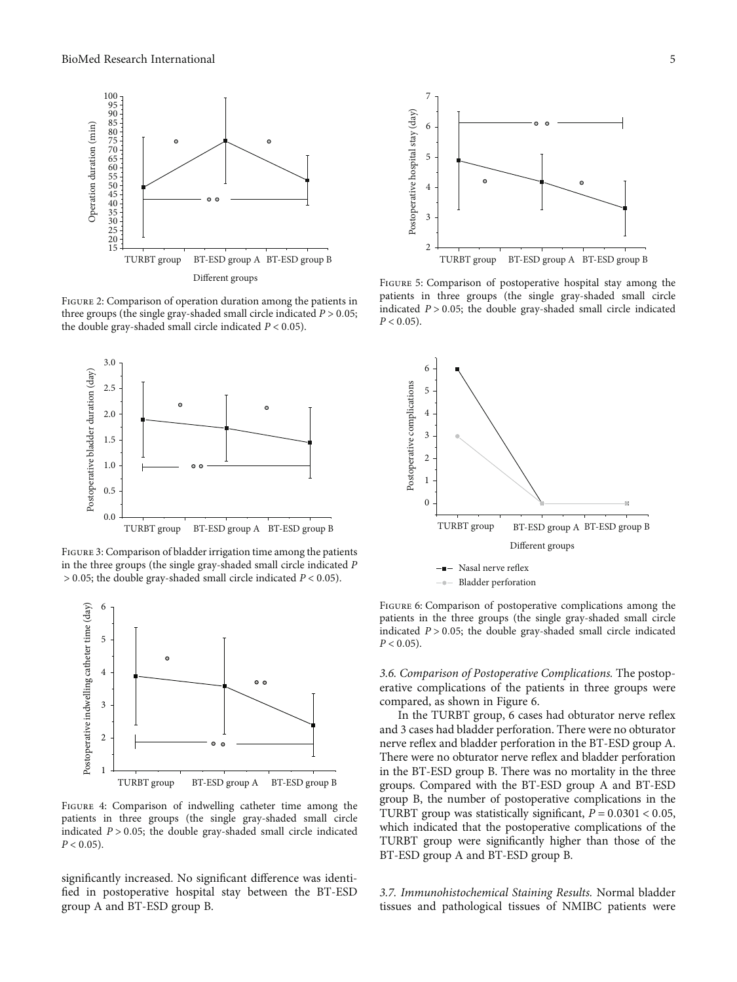<span id="page-4-0"></span>

Figure 2: Comparison of operation duration among the patients in three groups (the single gray-shaded small circle indicated  $P > 0.05$ ; the double gray-shaded small circle indicated  $P < 0.05$ ).



FIGURE 3: Comparison of bladder irrigation time among the patients in the three groups (the single gray-shaded small circle indicated *P* > 0*:*05; the double gray-shaded small circle indicated *P* < 0*:*05).



Figure 4: Comparison of indwelling catheter time among the patients in three groups (the single gray-shaded small circle indicated  $P > 0.05$ ; the double gray-shaded small circle indicated  $P < 0.05$ ).

significantly increased. No significant difference was identified in postoperative hospital stay between the BT-ESD group A and BT-ESD group B.



Figure 5: Comparison of postoperative hospital stay among the patients in three groups (the single gray-shaded small circle indicated *P* > 0*:*05; the double gray-shaded small circle indicated  $P < 0.05$ ).



FIGURE 6: Comparison of postoperative complications among the patients in the three groups (the single gray-shaded small circle indicated *P* > 0*:*05; the double gray-shaded small circle indicated  $P < 0.05$ ).

3.6. Comparison of Postoperative Complications. The postoperative complications of the patients in three groups were compared, as shown in Figure 6.

In the TURBT group, 6 cases had obturator nerve reflex and 3 cases had bladder perforation. There were no obturator nerve reflex and bladder perforation in the BT-ESD group A. There were no obturator nerve reflex and bladder perforation in the BT-ESD group B. There was no mortality in the three groups. Compared with the BT-ESD group A and BT-ESD group B, the number of postoperative complications in the TURBT group was statistically significant, *P* = 0*:*0301 < 0*:*05, which indicated that the postoperative complications of the TURBT group were significantly higher than those of the BT-ESD group A and BT-ESD group B.

3.7. Immunohistochemical Staining Results. Normal bladder tissues and pathological tissues of NMIBC patients were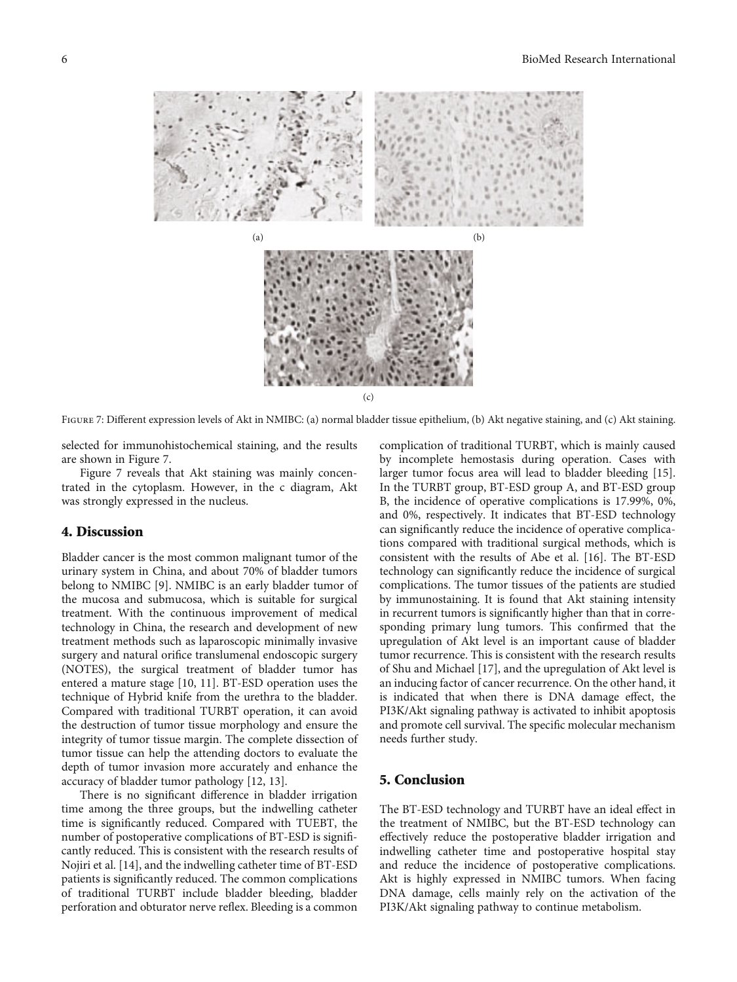

FIGURE 7: Different expression levels of Akt in NMIBC: (a) normal bladder tissue epithelium, (b) Akt negative staining, and (c) Akt staining.

selected for immunohistochemical staining, and the results are shown in Figure 7.

Figure 7 reveals that Akt staining was mainly concentrated in the cytoplasm. However, in the c diagram, Akt was strongly expressed in the nucleus.

#### 4. Discussion

Bladder cancer is the most common malignant tumor of the urinary system in China, and about 70% of bladder tumors belong to NMIBC [\[9\]](#page-6-0). NMIBC is an early bladder tumor of the mucosa and submucosa, which is suitable for surgical treatment. With the continuous improvement of medical technology in China, the research and development of new treatment methods such as laparoscopic minimally invasive surgery and natural orifice translumenal endoscopic surgery (NOTES), the surgical treatment of bladder tumor has entered a mature stage [\[10, 11](#page-6-0)]. BT-ESD operation uses the technique of Hybrid knife from the urethra to the bladder. Compared with traditional TURBT operation, it can avoid the destruction of tumor tissue morphology and ensure the integrity of tumor tissue margin. The complete dissection of tumor tissue can help the attending doctors to evaluate the depth of tumor invasion more accurately and enhance the accuracy of bladder tumor pathology [\[12, 13](#page-6-0)].

There is no significant difference in bladder irrigation time among the three groups, but the indwelling catheter time is significantly reduced. Compared with TUEBT, the number of postoperative complications of BT-ESD is significantly reduced. This is consistent with the research results of Nojiri et al. [\[14\]](#page-6-0), and the indwelling catheter time of BT-ESD patients is significantly reduced. The common complications of traditional TURBT include bladder bleeding, bladder perforation and obturator nerve reflex. Bleeding is a common complication of traditional TURBT, which is mainly caused by incomplete hemostasis during operation. Cases with larger tumor focus area will lead to bladder bleeding [[15](#page-6-0)]. In the TURBT group, BT-ESD group A, and BT-ESD group B, the incidence of operative complications is 17.99%, 0%, and 0%, respectively. It indicates that BT-ESD technology can significantly reduce the incidence of operative complications compared with traditional surgical methods, which is consistent with the results of Abe et al. [[16](#page-6-0)]. The BT-ESD technology can significantly reduce the incidence of surgical complications. The tumor tissues of the patients are studied by immunostaining. It is found that Akt staining intensity in recurrent tumors is significantly higher than that in corresponding primary lung tumors. This confirmed that the upregulation of Akt level is an important cause of bladder tumor recurrence. This is consistent with the research results of Shu and Michael [\[17\]](#page-6-0), and the upregulation of Akt level is an inducing factor of cancer recurrence. On the other hand, it is indicated that when there is DNA damage effect, the PI3K/Akt signaling pathway is activated to inhibit apoptosis and promote cell survival. The specific molecular mechanism needs further study.

#### 5. Conclusion

The BT-ESD technology and TURBT have an ideal effect in the treatment of NMIBC, but the BT-ESD technology can effectively reduce the postoperative bladder irrigation and indwelling catheter time and postoperative hospital stay and reduce the incidence of postoperative complications. Akt is highly expressed in NMIBC tumors. When facing DNA damage, cells mainly rely on the activation of the PI3K/Akt signaling pathway to continue metabolism.